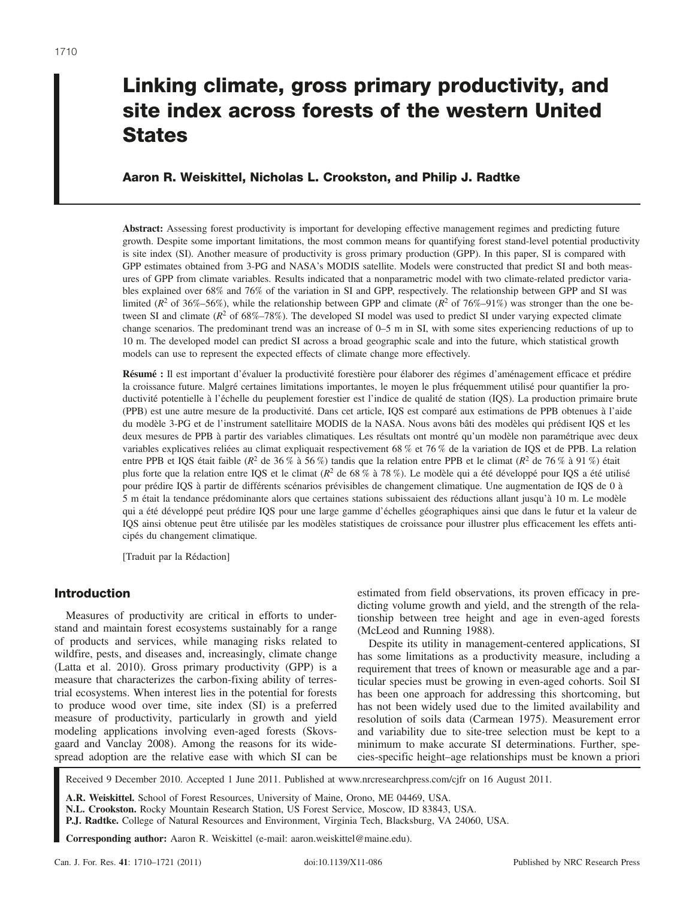# Linking climate, gross primary productivity, and site index across forests of the western United **States**

# Aaron R. Weiskittel, Nicholas L. Crookston, and Philip J. Radtke

Abstract: Assessing forest productivity is important for developing effective management regimes and predicting future growth. Despite some important limitations, the most common means for quantifying forest stand-level potential productivity is site index (SI). Another measure of productivity is gross primary production (GPP). In this paper, SI is compared with GPP estimates obtained from 3-PG and NASA's MODIS satellite. Models were constructed that predict SI and both measures of GPP from climate variables. Results indicated that a nonparametric model with two climate-related predictor variables explained over 68% and 76% of the variation in SI and GPP, respectively. The relationship between GPP and SI was limited ( $R^2$  of 36%–56%), while the relationship between GPP and climate ( $R^2$  of 76%–91%) was stronger than the one between SI and climate  $(R^2$  of 68%–78%). The developed SI model was used to predict SI under varying expected climate change scenarios. The predominant trend was an increase of 0–5 m in SI, with some sites experiencing reductions of up to 10 m. The developed model can predict SI across a broad geographic scale and into the future, which statistical growth models can use to represent the expected effects of climate change more effectively.

Résumé : Il est important d'évaluer la productivité forestière pour élaborer des régimes d'aménagement efficace et prédire la croissance future. Malgré certaines limitations importantes, le moyen le plus fréquemment utilisé pour quantifier la productivité potentielle à l'échelle du peuplement forestier est l'indice de qualité de station (IQS). La production primaire brute (PPB) est une autre mesure de la productivité. Dans cet article, IQS est comparé aux estimations de PPB obtenues à l'aide du modèle 3-PG et de l'instrument satellitaire MODIS de la NASA. Nous avons bâti des modèles qui prédisent IQS et les deux mesures de PPB à partir des variables climatiques. Les résultats ont montré qu'un modèle non paramétrique avec deux variables explicatives reliées au climat expliquait respectivement 68 % et 76 % de la variation de IQS et de PPB. La relation entre PPB et IQS était faible ( $R^2$  de 36 % à 56 %) tandis que la relation entre PPB et le climat ( $R^2$  de 76 % à 91 %) était plus forte que la relation entre IQS et le climat ( $R^2$  de 68% à 78%). Le modèle qui a été développé pour IQS a été utilisé pour prédire IQS à partir de différents scénarios prévisibles de changement climatique. Une augmentation de IQS de 0 à 5 m était la tendance prédominante alors que certaines stations subissaient des réductions allant jusqu'à 10 m. Le modèle qui a été développé peut prédire IQS pour une large gamme d'échelles géographiques ainsi que dans le futur et la valeur de IQS ainsi obtenue peut être utilisée par les modèles statistiques de croissance pour illustrer plus efficacement les effets anticipés du changement climatique.

[Traduit par la Rédaction]

# Introduction

Measures of productivity are critical in efforts to understand and maintain forest ecosystems sustainably for a range of products and services, while managing risks related to wildfire, pests, and diseases and, increasingly, climate change (Latta et al. 2010). Gross primary productivity (GPP) is a measure that characterizes the carbon-fixing ability of terrestrial ecosystems. When interest lies in the potential for forests to produce wood over time, site index (SI) is a preferred measure of productivity, particularly in growth and yield modeling applications involving even-aged forests (Skovsgaard and Vanclay 2008). Among the reasons for its widespread adoption are the relative ease with which SI can be estimated from field observations, its proven efficacy in predicting volume growth and yield, and the strength of the relationship between tree height and age in even-aged forests (McLeod and Running 1988).

Despite its utility in management-centered applications, SI has some limitations as a productivity measure, including a requirement that trees of known or measurable age and a particular species must be growing in even-aged cohorts. Soil SI has been one approach for addressing this shortcoming, but has not been widely used due to the limited availability and resolution of soils data (Carmean 1975). Measurement error and variability due to site-tree selection must be kept to a minimum to make accurate SI determinations. Further, species-specific height–age relationships must be known a priori

Received 9 December 2010. Accepted 1 June 2011. Published at www.nrcresearchpress.com/cjfr on 16 August 2011.

A.R. Weiskittel. School of Forest Resources, University of Maine, Orono, ME 04469, USA.

N.L. Crookston. Rocky Mountain Research Station, US Forest Service, Moscow, ID 83843, USA.

P.J. Radtke. College of Natural Resources and Environment, Virginia Tech, Blacksburg, VA 24060, USA.

Corresponding author: Aaron R. Weiskittel (e-mail: aaron.weiskittel@maine.edu).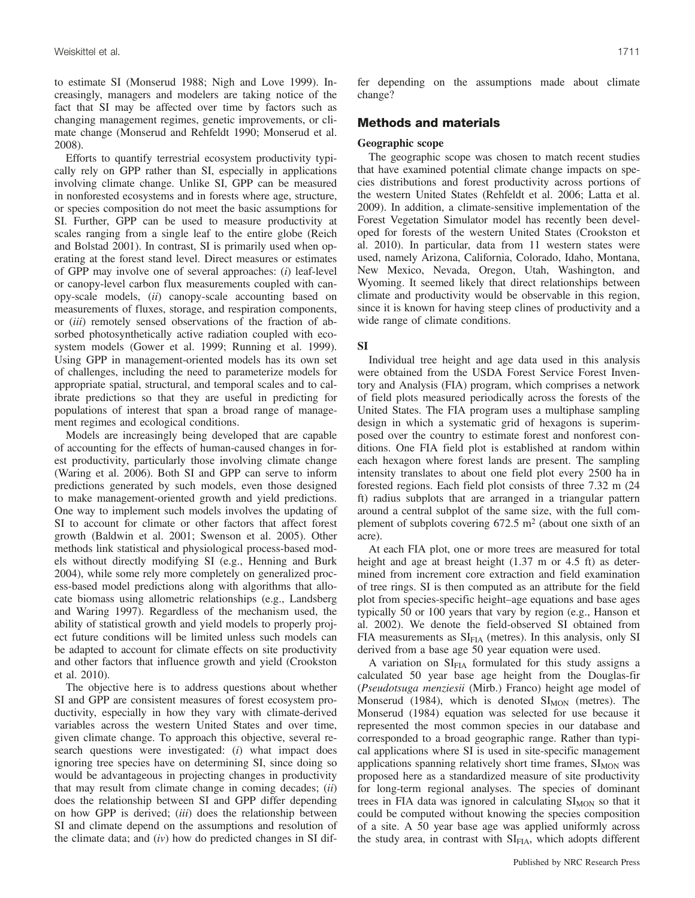to estimate SI (Monserud 1988; Nigh and Love 1999). Increasingly, managers and modelers are taking notice of the fact that SI may be affected over time by factors such as changing management regimes, genetic improvements, or climate change (Monserud and Rehfeldt 1990; Monserud et al. 2008).

Efforts to quantify terrestrial ecosystem productivity typically rely on GPP rather than SI, especially in applications involving climate change. Unlike SI, GPP can be measured in nonforested ecosystems and in forests where age, structure, or species composition do not meet the basic assumptions for SI. Further, GPP can be used to measure productivity at scales ranging from a single leaf to the entire globe (Reich and Bolstad 2001). In contrast, SI is primarily used when operating at the forest stand level. Direct measures or estimates of GPP may involve one of several approaches: (i) leaf-level or canopy-level carbon flux measurements coupled with canopy-scale models, (ii) canopy-scale accounting based on measurements of fluxes, storage, and respiration components, or *(iii)* remotely sensed observations of the fraction of absorbed photosynthetically active radiation coupled with ecosystem models (Gower et al. 1999; Running et al. 1999). Using GPP in management-oriented models has its own set of challenges, including the need to parameterize models for appropriate spatial, structural, and temporal scales and to calibrate predictions so that they are useful in predicting for populations of interest that span a broad range of management regimes and ecological conditions.

Models are increasingly being developed that are capable of accounting for the effects of human-caused changes in forest productivity, particularly those involving climate change (Waring et al. 2006). Both SI and GPP can serve to inform predictions generated by such models, even those designed to make management-oriented growth and yield predictions. One way to implement such models involves the updating of SI to account for climate or other factors that affect forest growth (Baldwin et al. 2001; Swenson et al. 2005). Other methods link statistical and physiological process-based models without directly modifying SI (e.g., Henning and Burk 2004), while some rely more completely on generalized process-based model predictions along with algorithms that allocate biomass using allometric relationships (e.g., Landsberg and Waring 1997). Regardless of the mechanism used, the ability of statistical growth and yield models to properly project future conditions will be limited unless such models can be adapted to account for climate effects on site productivity and other factors that influence growth and yield (Crookston et al. 2010).

The objective here is to address questions about whether SI and GPP are consistent measures of forest ecosystem productivity, especially in how they vary with climate-derived variables across the western United States and over time, given climate change. To approach this objective, several research questions were investigated: (i) what impact does ignoring tree species have on determining SI, since doing so would be advantageous in projecting changes in productivity that may result from climate change in coming decades;  $(ii)$ does the relationship between SI and GPP differ depending on how GPP is derived; (iii) does the relationship between SI and climate depend on the assumptions and resolution of the climate data; and  $(iv)$  how do predicted changes in SI differ depending on the assumptions made about climate change?

## Methods and materials

#### Geographic scope

The geographic scope was chosen to match recent studies that have examined potential climate change impacts on species distributions and forest productivity across portions of the western United States (Rehfeldt et al. 2006; Latta et al. 2009). In addition, a climate-sensitive implementation of the Forest Vegetation Simulator model has recently been developed for forests of the western United States (Crookston et al. 2010). In particular, data from 11 western states were used, namely Arizona, California, Colorado, Idaho, Montana, New Mexico, Nevada, Oregon, Utah, Washington, and Wyoming. It seemed likely that direct relationships between climate and productivity would be observable in this region, since it is known for having steep clines of productivity and a wide range of climate conditions.

#### SI

Individual tree height and age data used in this analysis were obtained from the USDA Forest Service Forest Inventory and Analysis (FIA) program, which comprises a network of field plots measured periodically across the forests of the United States. The FIA program uses a multiphase sampling design in which a systematic grid of hexagons is superimposed over the country to estimate forest and nonforest conditions. One FIA field plot is established at random within each hexagon where forest lands are present. The sampling intensity translates to about one field plot every 2500 ha in forested regions. Each field plot consists of three 7.32 m (24 ft) radius subplots that are arranged in a triangular pattern around a central subplot of the same size, with the full complement of subplots covering  $672.5 \text{ m}^2$  (about one sixth of an acre).

At each FIA plot, one or more trees are measured for total height and age at breast height (1.37 m or 4.5 ft) as determined from increment core extraction and field examination of tree rings. SI is then computed as an attribute for the field plot from species-specific height–age equations and base ages typically 50 or 100 years that vary by region (e.g., Hanson et al. 2002). We denote the field-observed SI obtained from FIA measurements as  $SI<sub>FTA</sub>$  (metres). In this analysis, only SI derived from a base age 50 year equation were used.

A variation on  $SI<sub>FIA</sub>$  formulated for this study assigns a calculated 50 year base age height from the Douglas-fir (Pseudotsuga menziesii (Mirb.) Franco) height age model of Monserud (1984), which is denoted  $SI<sub>MON</sub>$  (metres). The Monserud (1984) equation was selected for use because it represented the most common species in our database and corresponded to a broad geographic range. Rather than typical applications where SI is used in site-specific management applications spanning relatively short time frames,  $SI_{MON}$  was proposed here as a standardized measure of site productivity for long-term regional analyses. The species of dominant trees in FIA data was ignored in calculating  $SI_{MON}$  so that it could be computed without knowing the species composition of a site. A 50 year base age was applied uniformly across the study area, in contrast with SI<sub>FIA</sub>, which adopts different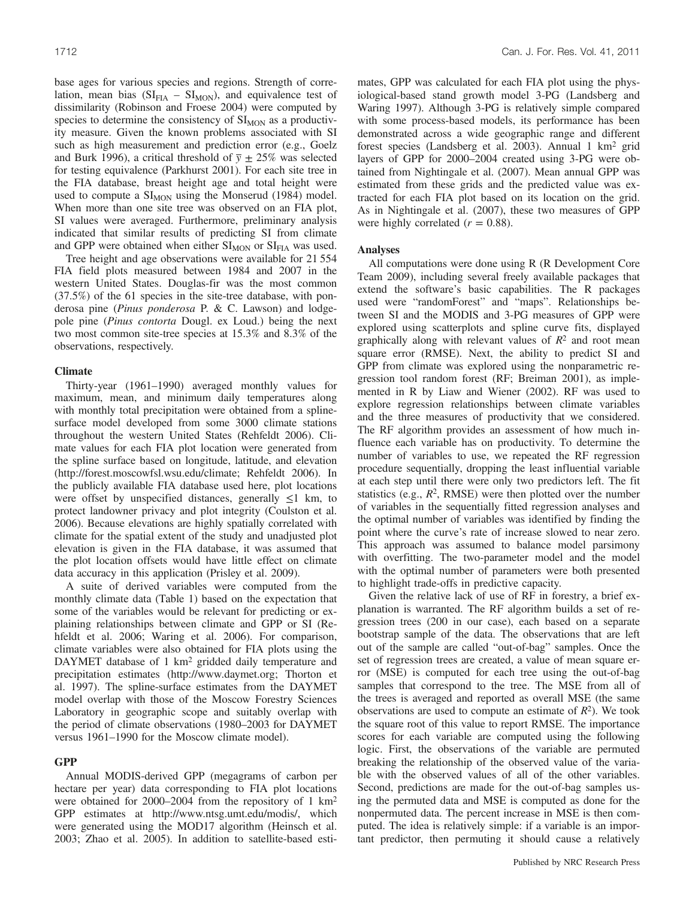base ages for various species and regions. Strength of correlation, mean bias ( $SI<sub>FA</sub> - SI<sub>MON</sub>$ ), and equivalence test of dissimilarity (Robinson and Froese 2004) were computed by species to determine the consistency of  $SI<sub>MON</sub>$  as a productivity measure. Given the known problems associated with SI such as high measurement and prediction error (e.g., Goelz and Burk 1996), a critical threshold of  $\bar{v} \pm 25\%$  was selected for testing equivalence (Parkhurst 2001). For each site tree in the FIA database, breast height age and total height were used to compute a  $SI<sub>MON</sub>$  using the Monserud (1984) model. When more than one site tree was observed on an FIA plot, SI values were averaged. Furthermore, preliminary analysis indicated that similar results of predicting SI from climate and GPP were obtained when either  $SI<sub>MON</sub>$  or  $SI<sub>FIA</sub>$  was used.

Tree height and age observations were available for 21 554 FIA field plots measured between 1984 and 2007 in the western United States. Douglas-fir was the most common (37.5%) of the 61 species in the site-tree database, with ponderosa pine (Pinus ponderosa P. & C. Lawson) and lodgepole pine (Pinus contorta Dougl. ex Loud.) being the next two most common site-tree species at 15.3% and 8.3% of the observations, respectively.

#### Climate

Thirty-year (1961–1990) averaged monthly values for maximum, mean, and minimum daily temperatures along with monthly total precipitation were obtained from a splinesurface model developed from some 3000 climate stations throughout the western United States (Rehfeldt 2006). Climate values for each FIA plot location were generated from the spline surface based on longitude, latitude, and elevation (http://forest.moscowfsl.wsu.edu/climate; Rehfeldt 2006). In the publicly available FIA database used here, plot locations were offset by unspecified distances, generally  $\leq 1$  km, to protect landowner privacy and plot integrity (Coulston et al. 2006). Because elevations are highly spatially correlated with climate for the spatial extent of the study and unadjusted plot elevation is given in the FIA database, it was assumed that the plot location offsets would have little effect on climate data accuracy in this application (Prisley et al. 2009).

A suite of derived variables were computed from the monthly climate data (Table 1) based on the expectation that some of the variables would be relevant for predicting or explaining relationships between climate and GPP or SI (Rehfeldt et al. 2006; Waring et al. 2006). For comparison, climate variables were also obtained for FIA plots using the DAYMET database of 1 km<sup>2</sup> gridded daily temperature and precipitation estimates (http://www.daymet.org; Thorton et al. 1997). The spline-surface estimates from the DAYMET model overlap with those of the Moscow Forestry Sciences Laboratory in geographic scope and suitably overlap with the period of climate observations (1980–2003 for DAYMET versus 1961–1990 for the Moscow climate model).

### GPP

Annual MODIS-derived GPP (megagrams of carbon per hectare per year) data corresponding to FIA plot locations were obtained for 2000–2004 from the repository of  $1 \text{ km}^2$ GPP estimates at http://www.ntsg.umt.edu/modis/, which were generated using the MOD17 algorithm (Heinsch et al. 2003; Zhao et al. 2005). In addition to satellite-based estimates, GPP was calculated for each FIA plot using the physiological-based stand growth model 3-PG (Landsberg and Waring 1997). Although 3-PG is relatively simple compared with some process-based models, its performance has been demonstrated across a wide geographic range and different forest species (Landsberg et al. 2003). Annual 1 km2 grid layers of GPP for 2000–2004 created using 3-PG were obtained from Nightingale et al. (2007). Mean annual GPP was estimated from these grids and the predicted value was extracted for each FIA plot based on its location on the grid. As in Nightingale et al. (2007), these two measures of GPP were highly correlated  $(r = 0.88)$ .

#### Analyses

All computations were done using R (R Development Core Team 2009), including several freely available packages that extend the software's basic capabilities. The R packages used were "randomForest" and "maps". Relationships between SI and the MODIS and 3-PG measures of GPP were explored using scatterplots and spline curve fits, displayed graphically along with relevant values of  $R^2$  and root mean square error (RMSE). Next, the ability to predict SI and GPP from climate was explored using the nonparametric regression tool random forest (RF; Breiman 2001), as implemented in R by Liaw and Wiener (2002). RF was used to explore regression relationships between climate variables and the three measures of productivity that we considered. The RF algorithm provides an assessment of how much influence each variable has on productivity. To determine the number of variables to use, we repeated the RF regression procedure sequentially, dropping the least influential variable at each step until there were only two predictors left. The fit statistics (e.g.,  $R^2$ , RMSE) were then plotted over the number of variables in the sequentially fitted regression analyses and the optimal number of variables was identified by finding the point where the curve's rate of increase slowed to near zero. This approach was assumed to balance model parsimony with overfitting. The two-parameter model and the model with the optimal number of parameters were both presented to highlight trade-offs in predictive capacity.

Given the relative lack of use of RF in forestry, a brief explanation is warranted. The RF algorithm builds a set of regression trees (200 in our case), each based on a separate bootstrap sample of the data. The observations that are left out of the sample are called "out-of-bag" samples. Once the set of regression trees are created, a value of mean square error (MSE) is computed for each tree using the out-of-bag samples that correspond to the tree. The MSE from all of the trees is averaged and reported as overall MSE (the same observations are used to compute an estimate of  $R^2$ ). We took the square root of this value to report RMSE. The importance scores for each variable are computed using the following logic. First, the observations of the variable are permuted breaking the relationship of the observed value of the variable with the observed values of all of the other variables. Second, predictions are made for the out-of-bag samples using the permuted data and MSE is computed as done for the nonpermuted data. The percent increase in MSE is then computed. The idea is relatively simple: if a variable is an important predictor, then permuting it should cause a relatively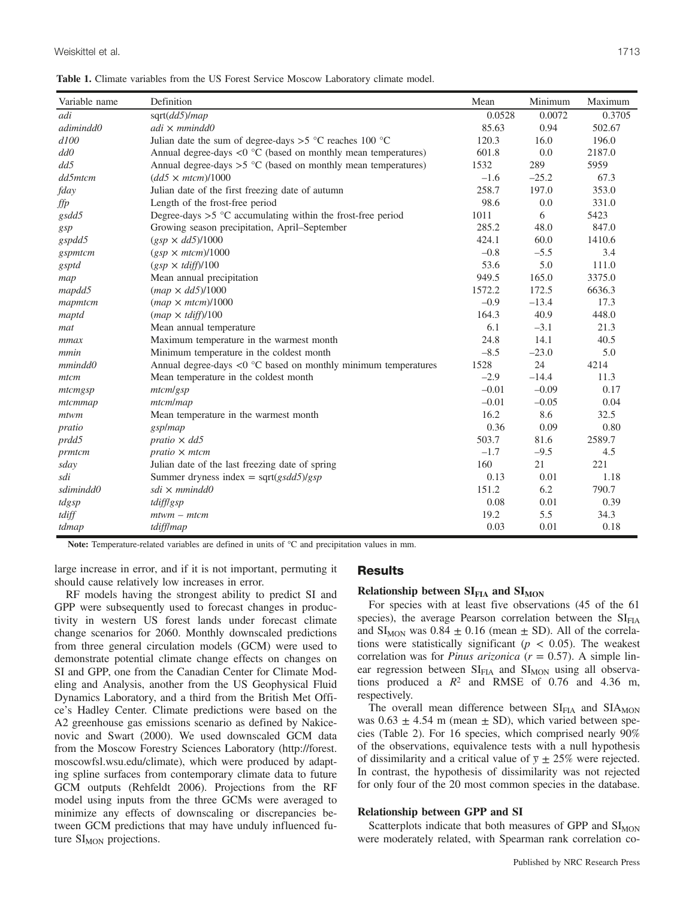|  |  |  |  |  |  |  |  |  | <b>Table 1.</b> Climate variables from the US Forest Service Moscow Laboratory climate model. |  |  |
|--|--|--|--|--|--|--|--|--|-----------------------------------------------------------------------------------------------|--|--|
|--|--|--|--|--|--|--|--|--|-----------------------------------------------------------------------------------------------|--|--|

| Variable name  | Definition                                                               | Mean    | Minimum | Maximum |
|----------------|--------------------------------------------------------------------------|---------|---------|---------|
| adi            | sqrt(dd5)/map                                                            | 0.0528  | 0.0072  | 0.3705  |
| adimindd0      | $adi \times minadd0$                                                     | 85.63   | 0.94    | 502.67  |
| d100           | Julian date the sum of degree-days $>5$ °C reaches 100 °C                | 120.3   | 16.0    | 196.0   |
| dd0            | Annual degree-days < $0^{\circ}$ C (based on monthly mean temperatures)  | 601.8   | 0.0     | 2187.0  |
| dd5            | Annual degree-days $>5$ °C (based on monthly mean temperatures)          | 1532    | 289     | 5959    |
| dd5mtcm        | $(dd5\times mtcm)/1000$                                                  | $-1.6$  | $-25.2$ | 67.3    |
| fday           | Julian date of the first freezing date of autumn                         | 258.7   | 197.0   | 353.0   |
| ffp            | Length of the frost-free period                                          | 98.6    | 0.0     | 331.0   |
| gsdd5          | Degree-days $>5$ °C accumulating within the frost-free period            | 1011    | 6       | 5423    |
| gsp            | Growing season precipitation, April–September                            | 285.2   | 48.0    | 847.0   |
| gspdd5         | $(gsp \times dd5)/1000$                                                  | 424.1   | 60.0    | 1410.6  |
| gspmtcm        | $(gsp \times m \cdot \text{tcm})/1000$                                   | $-0.8$  | $-5.5$  | 3.4     |
| gsptd          | $(gsp \times tdiff)/100$                                                 | 53.6    | 5.0     | 111.0   |
| map            | Mean annual precipitation                                                | 949.5   | 165.0   | 3375.0  |
| mapdd5         | $(map \times dd5)/1000$                                                  | 1572.2  | 172.5   | 6636.3  |
| mapmtcm        | $(map \times mtem)/1000$                                                 | $-0.9$  | $-13.4$ | 17.3    |
| maptd          | $(map \times tdiff)/100$                                                 | 164.3   | 40.9    | 448.0   |
| mat            | Mean annual temperature                                                  | 6.1     | $-3.1$  | 21.3    |
| mmax           | Maximum temperature in the warmest month                                 | 24.8    | 14.1    | 40.5    |
| mmin           | Minimum temperature in the coldest month                                 | $-8.5$  | $-23.0$ | 5.0     |
| <i>mmindd0</i> | Annual degree-days < $0^{\circ}$ C based on monthly minimum temperatures | 1528    | 24      | 4214    |
| mtcm           | Mean temperature in the coldest month                                    | $-2.9$  | $-14.4$ | 11.3    |
| mtcmgsp        | $m$ t $cm$ /gsp                                                          | $-0.01$ | $-0.09$ | 0.17    |
| mtcmmap        | $m$ t $cm$ /map                                                          | $-0.01$ | $-0.05$ | 0.04    |
| mtwm           | Mean temperature in the warmest month                                    | 16.2    | 8.6     | 32.5    |
| pratio         | gsplmap                                                                  | 0.36    | 0.09    | 0.80    |
| prdd5          | pratio $\times$ dd5                                                      | 503.7   | 81.6    | 2589.7  |
| prmtcm         | $pratio \times m$ tcm                                                    | $-1.7$  | $-9.5$  | 4.5     |
| sday           | Julian date of the last freezing date of spring                          | 160     | 21      | 221     |
| sdi            | Summer dryness index = $sqrt(gsdd5)/gsp$                                 | 0.13    | 0.01    | 1.18    |
| sdimindd0      | sdi $\times$ mmindd0                                                     | 151.2   | 6.2     | 790.7   |
| tdgsp          | tdifflgsp                                                                | 0.08    | 0.01    | 0.39    |
| tdiff          | $mtwm - mtcm$                                                            | 19.2    | 5.5     | 34.3    |
| tdmap          | tdifflmap                                                                | 0.03    | 0.01    | 0.18    |

Note: Temperature-related variables are defined in units of  $\mathrm{C}$  and precipitation values in mm.

large increase in error, and if it is not important, permuting it should cause relatively low increases in error.

# RF models having the strongest ability to predict SI and GPP were subsequently used to forecast changes in productivity in western US forest lands under forecast climate change scenarios for 2060. Monthly downscaled predictions from three general circulation models (GCM) were used to demonstrate potential climate change effects on changes on SI and GPP, one from the Canadian Center for Climate Modeling and Analysis, another from the US Geophysical Fluid Dynamics Laboratory, and a third from the British Met Office's Hadley Center. Climate predictions were based on the A2 greenhouse gas emissions scenario as defined by Nakicenovic and Swart (2000). We used downscaled GCM data from the Moscow Forestry Sciences Laboratory (http://forest. moscowfsl.wsu.edu/climate), which were produced by adapting spline surfaces from contemporary climate data to future GCM outputs (Rehfeldt 2006). Projections from the RF model using inputs from the three GCMs were averaged to minimize any effects of downscaling or discrepancies between GCM predictions that may have unduly influenced future  $SI_{MON}$  projections.

#### Results

#### Relationship between  $SI<sub>FIA</sub>$  and  $SI<sub>MON</sub>$

For species with at least five observations (45 of the 61 species), the average Pearson correlation between the  $SI<sub>FIA</sub>$ and  $SI_{MON}$  was  $0.84 \pm 0.16$  (mean  $\pm$  SD). All of the correlations were statistically significant ( $p < 0.05$ ). The weakest correlation was for *Pinus arizonica* ( $r = 0.57$ ). A simple linear regression between  $SI<sub>FA</sub>$  and  $SI<sub>MON</sub>$  using all observations produced a  $R^2$  and RMSE of 0.76 and 4.36 m, respectively.

The overall mean difference between  $SI<sub>FIA</sub>$  and  $SI<sub>MON</sub>$ was  $0.63 \pm 4.54$  m (mean  $\pm$  SD), which varied between species (Table 2). For 16 species, which comprised nearly 90% of the observations, equivalence tests with a null hypothesis of dissimilarity and a critical value of  $\overline{y} \pm 25\%$  were rejected. In contrast, the hypothesis of dissimilarity was not rejected for only four of the 20 most common species in the database.

#### Relationship between GPP and SI

Scatterplots indicate that both measures of GPP and  $SI<sub>MON</sub>$ were moderately related, with Spearman rank correlation co-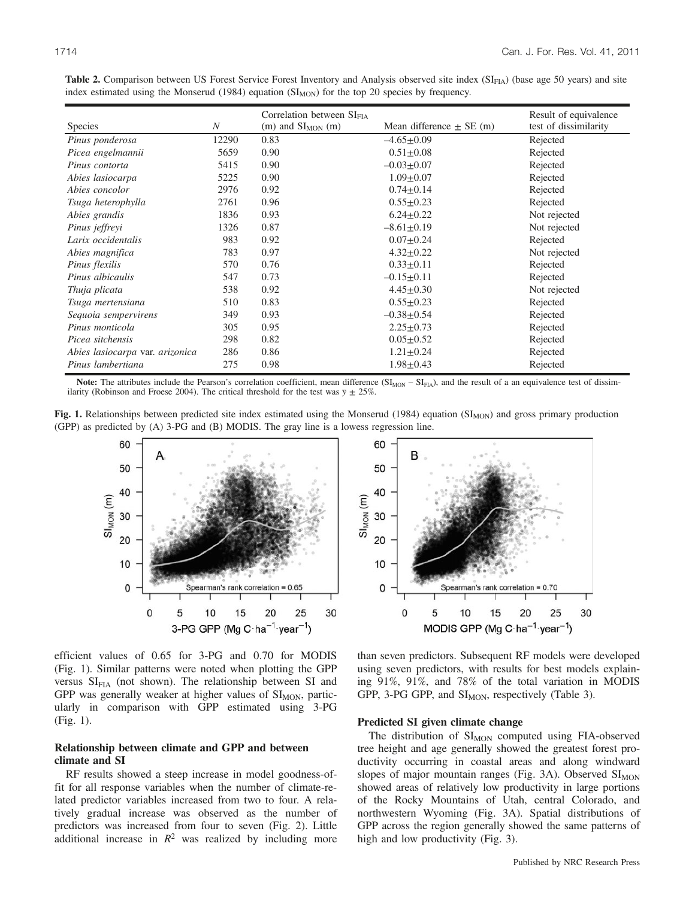| <b>Species</b>                  | $\boldsymbol{N}$ | Correlation between SI <sub>FIA</sub><br>$(m)$ and $SIMON$ $(m)$ | Mean difference $\pm$ SE (m) | Result of equivalence<br>test of dissimilarity |
|---------------------------------|------------------|------------------------------------------------------------------|------------------------------|------------------------------------------------|
| Pinus ponderosa                 | 12290            | 0.83                                                             | $-4.65 \pm 0.09$             | Rejected                                       |
| Picea engelmannii               | 5659             | 0.90                                                             | $0.51 \pm 0.08$              | Rejected                                       |
| Pinus contorta                  | 5415             | 0.90                                                             | $-0.03 \pm 0.07$             | Rejected                                       |
| Abies lasiocarpa                | 5225             | 0.90                                                             | $1.09 \pm 0.07$              | Rejected                                       |
| Abies concolor                  | 2976             | 0.92                                                             | $0.74 \pm 0.14$              | Rejected                                       |
| Tsuga heterophylla              | 2761             | 0.96                                                             | $0.55 \pm 0.23$              | Rejected                                       |
| Abies grandis                   | 1836             | 0.93                                                             | $6.24 \pm 0.22$              | Not rejected                                   |
| Pinus jeffreyi                  | 1326             | 0.87                                                             | $-8.61 \pm 0.19$             | Not rejected                                   |
| Larix occidentalis              | 983              | 0.92                                                             | $0.07 + 0.24$                | Rejected                                       |
| Abies magnifica                 | 783              | 0.97                                                             | $4.32 \pm 0.22$              | Not rejected                                   |
| Pinus flexilis                  | 570              | 0.76                                                             | $0.33 \pm 0.11$              | Rejected                                       |
| Pinus albicaulis                | 547              | 0.73                                                             | $-0.15+0.11$                 | Rejected                                       |
| Thuja plicata                   | 538              | 0.92                                                             | $4.45 \pm 0.30$              | Not rejected                                   |
| Tsuga mertensiana               | 510              | 0.83                                                             | $0.55 \pm 0.23$              | Rejected                                       |
| Sequoia sempervirens            | 349              | 0.93                                                             | $-0.38 + 0.54$               | Rejected                                       |
| Pinus monticola                 | 305              | 0.95                                                             | $2.25 \pm 0.73$              | Rejected                                       |
| Picea sitchensis                | 298              | 0.82                                                             | $0.05 \pm 0.52$              | Rejected                                       |
| Abies lasiocarpa var. arizonica | 286              | 0.86                                                             | $1.21 \pm 0.24$              | Rejected                                       |
| Pinus lambertiana               | 275              | 0.98                                                             | $1.98 \pm 0.43$              | Rejected                                       |

Table 2. Comparison between US Forest Service Forest Inventory and Analysis observed site index (SI<sub>FIA</sub>) (base age 50 years) and site index estimated using the Monserud (1984) equation  $(SI_{MON})$  for the top 20 species by frequency.

Note: The attributes include the Pearson's correlation coefficient, mean difference  $(SI_{MON} - S I_{FIA})$ , and the result of a an equivalence test of dissimilarity (Robinson and Froese 2004). The critical threshold for the test was  $\overline{y} \pm 25\%$ .

| Fig. 1. Relationships between predicted site index estimated using the Monserud (1984) equation (SI <sub>MON</sub> ) and gross primary production |  |  |  |  |  |  |  |
|---------------------------------------------------------------------------------------------------------------------------------------------------|--|--|--|--|--|--|--|
| (GPP) as predicted by (A) 3-PG and (B) MODIS. The gray line is a lowess regression line.                                                          |  |  |  |  |  |  |  |



efficient values of 0.65 for 3-PG and 0.70 for MODIS (Fig. 1). Similar patterns were noted when plotting the GPP versus  $SI<sub>FA</sub>$  (not shown). The relationship between SI and GPP was generally weaker at higher values of  $SI<sub>MON</sub>$ , particularly in comparison with GPP estimated using 3-PG (Fig. 1).

## Relationship between climate and GPP and between climate and SI

RF results showed a steep increase in model goodness-offit for all response variables when the number of climate-related predictor variables increased from two to four. A relatively gradual increase was observed as the number of predictors was increased from four to seven (Fig. 2). Little additional increase in  $R<sup>2</sup>$  was realized by including more



than seven predictors. Subsequent RF models were developed using seven predictors, with results for best models explaining 91%, 91%, and 78% of the total variation in MODIS GPP, 3-PG GPP, and  $SI<sub>MON</sub>$ , respectively (Table 3).

#### Predicted SI given climate change

The distribution of  $SI<sub>MON</sub>$  computed using FIA-observed tree height and age generally showed the greatest forest productivity occurring in coastal areas and along windward slopes of major mountain ranges (Fig. 3A). Observed  $SI<sub>MON</sub>$ showed areas of relatively low productivity in large portions of the Rocky Mountains of Utah, central Colorado, and northwestern Wyoming (Fig. 3A). Spatial distributions of GPP across the region generally showed the same patterns of high and low productivity (Fig. 3).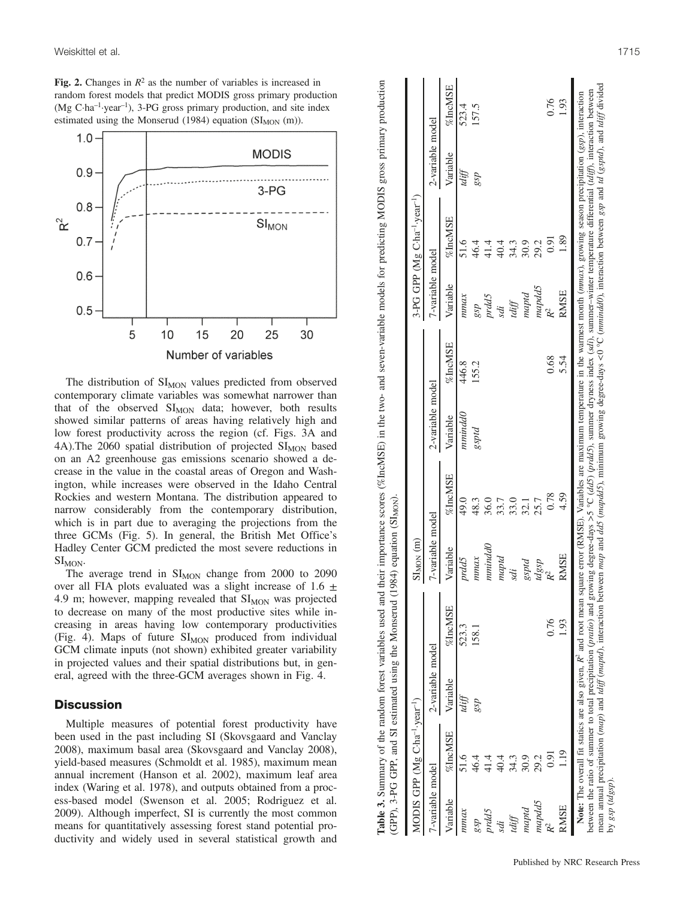Fig. 2. Changes in  $R^2$  as the number of variables is increased in random forest models that predict MODIS gross primary production (Mg C·ha–1·year–1), 3-PG gross primary production, and site index estimated using the Monserud (1984) equation ( $SI<sub>MON</sub>$  (m)).



The distribution of  $SI_{MON}$  values predicted from observed contemporary climate variables was somewhat narrower than that of the observed  $SI<sub>MON</sub>$  data; however, both results showed similar patterns of areas having relatively high and low forest productivity across the region (cf. Figs. 3A and 4A). The 2060 spatial distribution of projected  $SI<sub>MON</sub>$  based on an A2 greenhouse gas emissions scenario showed a decrease in the value in the coastal areas of Oregon and Washington, while increases were observed in the Idaho Central Rockies and western Montana. The distribution appeared to narrow considerably from the contemporary distribution, which is in part due to averaging the projections from the three GCMs (Fig. 5). In general, the British Met Office's Hadley Center GCM predicted the most severe reductions in  $SI<sub>MON</sub>$ .

The average trend in  $SI<sub>MON</sub>$  change from 2000 to 2090 over all FIA plots evaluated was a slight increase of  $1.6 \pm$ 4.9 m; however, mapping revealed that  $SI<sub>MON</sub>$  was projected to decrease on many of the most productive sites while increasing in areas having low contemporary productivities (Fig. 4). Maps of future  $SI<sub>MON</sub>$  produced from individual GCM climate inputs (not shown) exhibited greater variability in projected values and their spatial distributions but, in general, agreed with the three-GCM averages shown in Fig. 4.

# **Discussion**

Multiple measures of potential forest productivity have been used in the past including SI (Skovsgaard and Vanclay 2008), maximum basal area (Skovsgaard and Vanclay 2008), yield-based measures (Schmoldt et al. 1985), maximum mean annual increment (Hanson et al. 2002), maximum leaf area index (Waring et al. 1978), and outputs obtained from a process-based model (Swenson et al. 2005; Rodriguez et al. 2009). Although imperfect, SI is currently the most common means for quantitatively assessing forest stand potential productivity and widely used in several statistical growth and

|                   | MODIS GPP (Mg C.ha <sup>-1</sup> .year <sup>-1</sup> ) |                  |                                                                                                                                                                                                                                                                                                                                                                                                                                                                                                                                                                                                                                                                           | $SIMON$ (m)      |         |                  |         |                  | 3-PG GPP (Mg C·ha <sup>-1</sup> ·year <sup>-1</sup> ) |                  |         |
|-------------------|--------------------------------------------------------|------------------|---------------------------------------------------------------------------------------------------------------------------------------------------------------------------------------------------------------------------------------------------------------------------------------------------------------------------------------------------------------------------------------------------------------------------------------------------------------------------------------------------------------------------------------------------------------------------------------------------------------------------------------------------------------------------|------------------|---------|------------------|---------|------------------|-------------------------------------------------------|------------------|---------|
| 7-variable model  |                                                        | 2-variable model |                                                                                                                                                                                                                                                                                                                                                                                                                                                                                                                                                                                                                                                                           | 7-variable model |         | 2-variable model |         | 7-variable model |                                                       | 2-variable model |         |
| Variable          | %IncMSE                                                | Variable         | %IncMSE                                                                                                                                                                                                                                                                                                                                                                                                                                                                                                                                                                                                                                                                   | Variable         | %IncMSE | Variable         | %IncMSE | Variable         | %IncMSE                                               | Variable         | %IncMSE |
| mnax              | 51.6                                                   | tdiff            | 523.3                                                                                                                                                                                                                                                                                                                                                                                                                                                                                                                                                                                                                                                                     | prdd5            | 49.0    | mminddO          | 446.8   | nnmax            | 51.6                                                  | tdiff            | 523.4   |
| gsp               | 46.4                                                   | as B             | 158.1                                                                                                                                                                                                                                                                                                                                                                                                                                                                                                                                                                                                                                                                     | mnax             | 48.3    | gsptd            | 155.2   | ds8              | 46.4                                                  | gsp              | 157.5   |
| prdd5             | 41.4                                                   |                  |                                                                                                                                                                                                                                                                                                                                                                                                                                                                                                                                                                                                                                                                           | mmindd0          | 36.0    |                  |         | prdd5            | 41.4                                                  |                  |         |
| sdi               | 40.4                                                   |                  |                                                                                                                                                                                                                                                                                                                                                                                                                                                                                                                                                                                                                                                                           | maptd            | 33.7    |                  |         | sdi              | 40.4                                                  |                  |         |
| tdiff             | 34.3                                                   |                  |                                                                                                                                                                                                                                                                                                                                                                                                                                                                                                                                                                                                                                                                           | sdi              | 33.0    |                  |         | tdiff            | 34.3                                                  |                  |         |
| maptd             | 30.9                                                   |                  |                                                                                                                                                                                                                                                                                                                                                                                                                                                                                                                                                                                                                                                                           | gsptd            | 32.1    |                  |         | maptd            | 30.9                                                  |                  |         |
| mapdd5            | 29.2                                                   |                  |                                                                                                                                                                                                                                                                                                                                                                                                                                                                                                                                                                                                                                                                           | tdgsp            | 25.7    |                  |         | mapdd5           | 29.2                                                  |                  |         |
|                   | 0.91                                                   |                  | 0.76                                                                                                                                                                                                                                                                                                                                                                                                                                                                                                                                                                                                                                                                      | R <sup>2</sup>   | 0.78    |                  | 0.68    |                  | $\overline{16.0}$                                     |                  | 0.76    |
| RMSE              | 1.19                                                   |                  | 1.93                                                                                                                                                                                                                                                                                                                                                                                                                                                                                                                                                                                                                                                                      | <b>RMSE</b>      | 4.59    |                  | 5.54    | RMSE             | $^{89}$                                               |                  | 1.93    |
| by $ggp$ $(dggp)$ |                                                        |                  | mean annual precipitation ( <i>map</i> ) and <i>tdiff</i> (mapta), interaction between <i>map</i> and dd5 ( <i>mapdd5</i> ), minimum growing degree-days <0 °C ( <i>mmindd0</i> ), interaction between gsp and ta (gsptd), and tdiff divided<br>between the ratio of summer to total precipitation (pratio) and growing degree-days >5 °C (dd5) (prdd5), summer dryness index (sdi), summer-winter temperature differential (ddff), interaction between<br>Note: The overall fit statics are also given, R <sup>2</sup> and root mean square error (RMSE). Variables are maximum temperature in the warmest month (mmax), growing season precipitation (gsp), interaction |                  |         |                  |         |                  |                                                       |                  |         |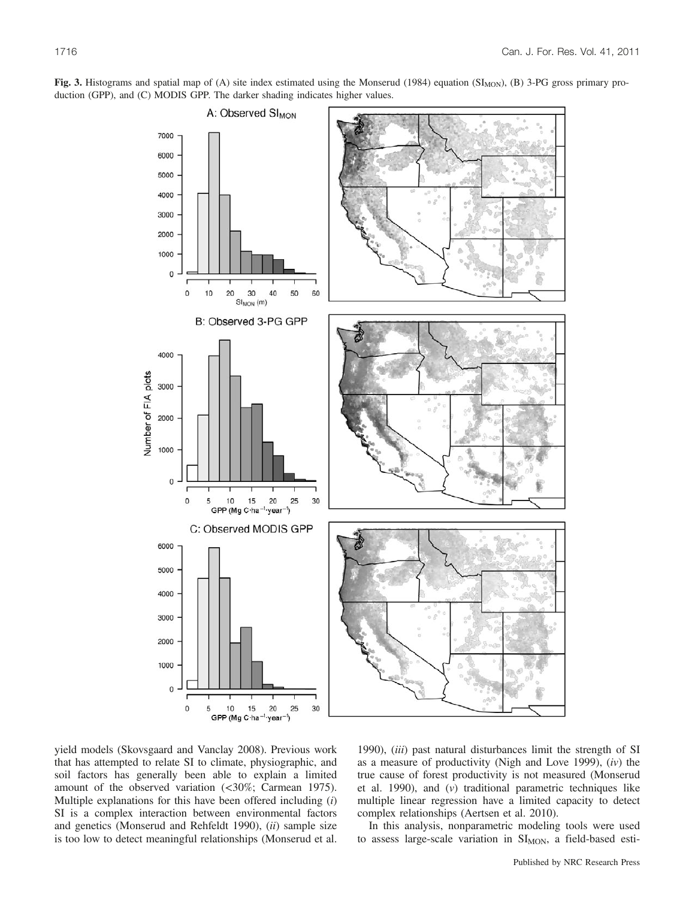Fig. 3. Histograms and spatial map of (A) site index estimated using the Monserud (1984) equation (SI<sub>MON</sub>), (B) 3-PG gross primary production (GPP), and (C) MODIS GPP. The darker shading indicates higher values.



yield models (Skovsgaard and Vanclay 2008). Previous work that has attempted to relate SI to climate, physiographic, and soil factors has generally been able to explain a limited amount of the observed variation (<30%; Carmean 1975). Multiple explanations for this have been offered including  $(i)$ SI is a complex interaction between environmental factors and genetics (Monserud and Rehfeldt 1990), (ii) sample size is too low to detect meaningful relationships (Monserud et al.

1990), (iii) past natural disturbances limit the strength of SI as a measure of productivity (Nigh and Love 1999),  $(iv)$  the true cause of forest productivity is not measured (Monserud et al. 1990), and (v) traditional parametric techniques like multiple linear regression have a limited capacity to detect complex relationships (Aertsen et al. 2010).

In this analysis, nonparametric modeling tools were used to assess large-scale variation in  $SI<sub>MON</sub>$ , a field-based esti-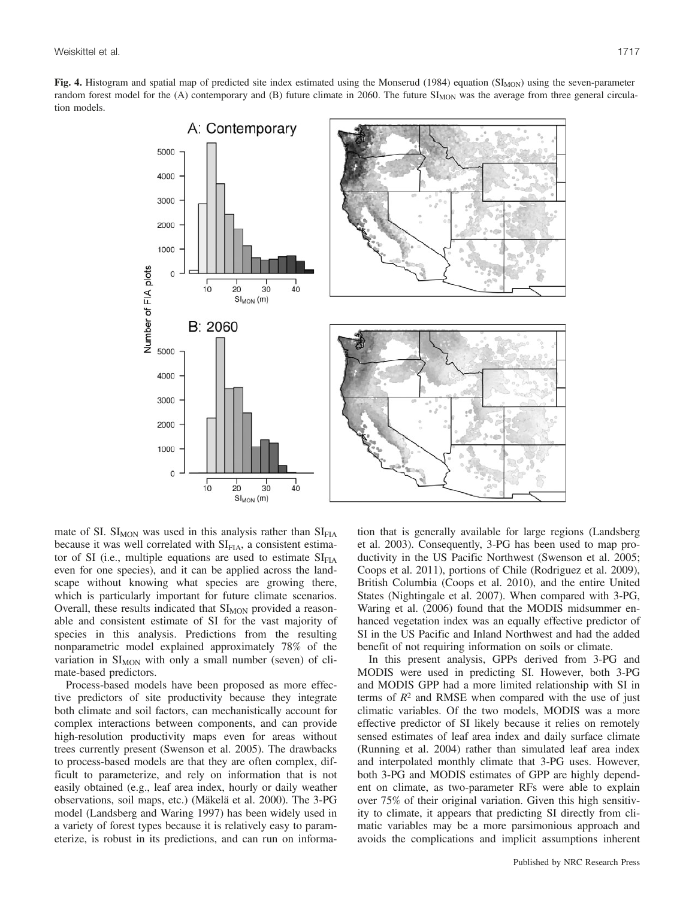

mate of SI.  $SI_{MON}$  was used in this analysis rather than  $SI_{FIA}$ because it was well correlated with  $SI<sub>FA</sub>$ , a consistent estimator of SI (i.e., multiple equations are used to estimate  $SI<sub>FIA</sub>$ even for one species), and it can be applied across the landscape without knowing what species are growing there, which is particularly important for future climate scenarios. Overall, these results indicated that  $SI<sub>MON</sub>$  provided a reasonable and consistent estimate of SI for the vast majority of species in this analysis. Predictions from the resulting nonparametric model explained approximately 78% of the variation in  $SI<sub>MON</sub>$  with only a small number (seven) of climate-based predictors.

Process-based models have been proposed as more effective predictors of site productivity because they integrate both climate and soil factors, can mechanistically account for complex interactions between components, and can provide high-resolution productivity maps even for areas without trees currently present (Swenson et al. 2005). The drawbacks to process-based models are that they are often complex, difficult to parameterize, and rely on information that is not easily obtained (e.g., leaf area index, hourly or daily weather observations, soil maps, etc.) (Mäkelä et al. 2000). The 3-PG model (Landsberg and Waring 1997) has been widely used in a variety of forest types because it is relatively easy to parameterize, is robust in its predictions, and can run on information that is generally available for large regions (Landsberg et al. 2003). Consequently, 3-PG has been used to map productivity in the US Pacific Northwest (Swenson et al. 2005; Coops et al. 2011), portions of Chile (Rodriguez et al. 2009), British Columbia (Coops et al. 2010), and the entire United States (Nightingale et al. 2007). When compared with 3-PG, Waring et al. (2006) found that the MODIS midsummer enhanced vegetation index was an equally effective predictor of SI in the US Pacific and Inland Northwest and had the added benefit of not requiring information on soils or climate.

In this present analysis, GPPs derived from 3-PG and MODIS were used in predicting SI. However, both 3-PG and MODIS GPP had a more limited relationship with SI in terms of  $R<sup>2</sup>$  and RMSE when compared with the use of just climatic variables. Of the two models, MODIS was a more effective predictor of SI likely because it relies on remotely sensed estimates of leaf area index and daily surface climate (Running et al. 2004) rather than simulated leaf area index and interpolated monthly climate that 3-PG uses. However, both 3-PG and MODIS estimates of GPP are highly dependent on climate, as two-parameter RFs were able to explain over 75% of their original variation. Given this high sensitivity to climate, it appears that predicting SI directly from climatic variables may be a more parsimonious approach and avoids the complications and implicit assumptions inherent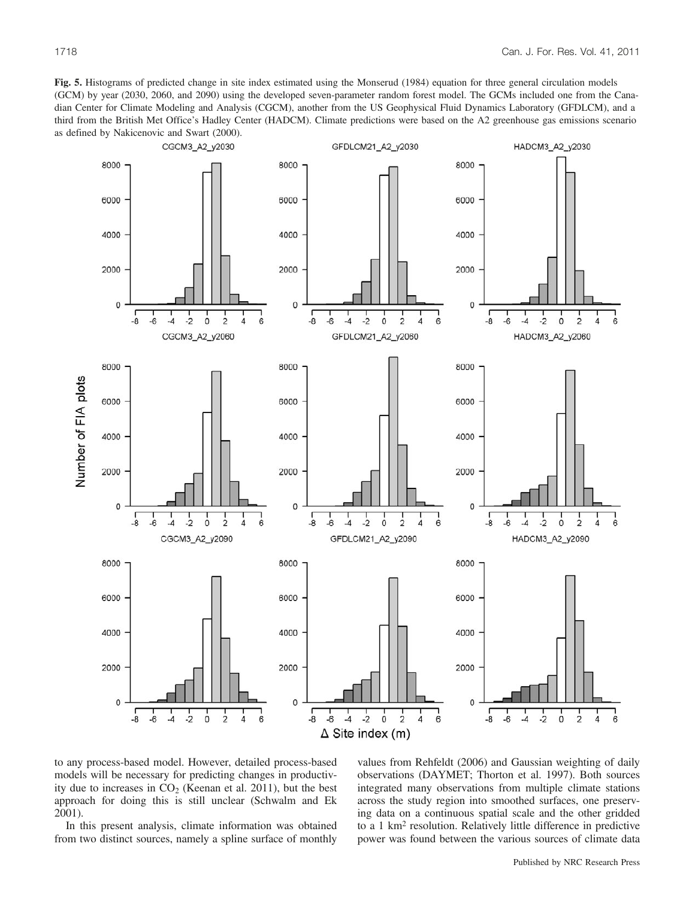Fig. 5. Histograms of predicted change in site index estimated using the Monserud (1984) equation for three general circulation models (GCM) by year (2030, 2060, and 2090) using the developed seven-parameter random forest model. The GCMs included one from the Canadian Center for Climate Modeling and Analysis (CGCM), another from the US Geophysical Fluid Dynamics Laboratory (GFDLCM), and a third from the British Met Office's Hadley Center (HADCM). Climate predictions were based on the A2 greenhouse gas emissions scenario as defined by Nakicenovic and Swart (2000).



to any process-based model. However, detailed process-based models will be necessary for predicting changes in productivity due to increases in  $CO<sub>2</sub>$  (Keenan et al. 2011), but the best approach for doing this is still unclear (Schwalm and Ek 2001).

In this present analysis, climate information was obtained from two distinct sources, namely a spline surface of monthly values from Rehfeldt (2006) and Gaussian weighting of daily observations (DAYMET; Thorton et al. 1997). Both sources integrated many observations from multiple climate stations across the study region into smoothed surfaces, one preserving data on a continuous spatial scale and the other gridded to a 1 km2 resolution. Relatively little difference in predictive power was found between the various sources of climate data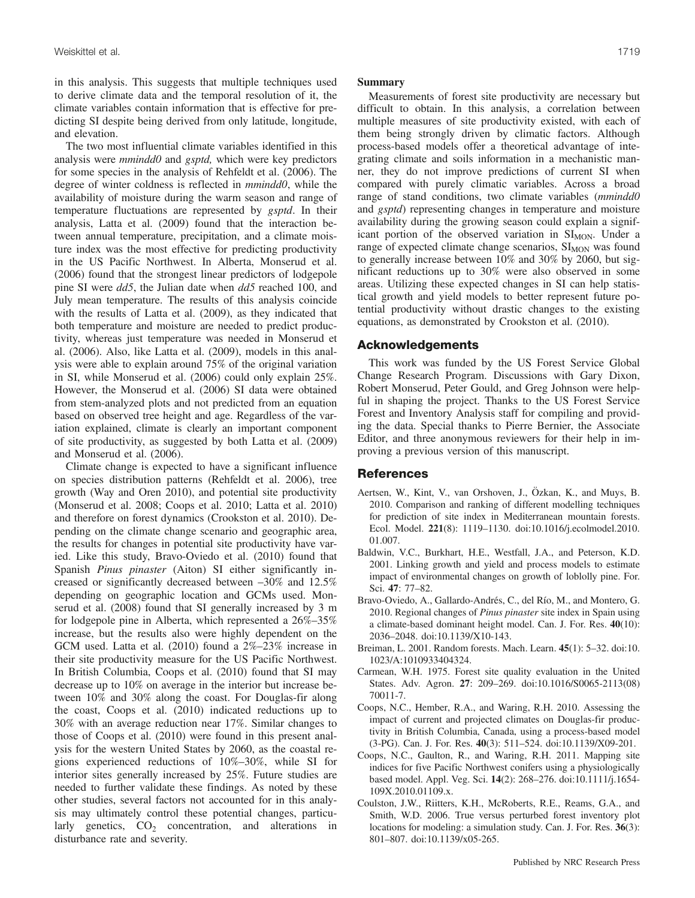in this analysis. This suggests that multiple techniques used to derive climate data and the temporal resolution of it, the climate variables contain information that is effective for predicting SI despite being derived from only latitude, longitude, and elevation.

The two most influential climate variables identified in this analysis were *mmindd0* and *gsptd*, which were key predictors for some species in the analysis of Rehfeldt et al. (2006). The degree of winter coldness is reflected in mmindd0, while the availability of moisture during the warm season and range of temperature fluctuations are represented by *gsptd*. In their analysis, Latta et al. (2009) found that the interaction between annual temperature, precipitation, and a climate moisture index was the most effective for predicting productivity in the US Pacific Northwest. In Alberta, Monserud et al. (2006) found that the strongest linear predictors of lodgepole pine SI were  $dd5$ , the Julian date when  $dd5$  reached 100, and July mean temperature. The results of this analysis coincide with the results of Latta et al. (2009), as they indicated that both temperature and moisture are needed to predict productivity, whereas just temperature was needed in Monserud et al. (2006). Also, like Latta et al. (2009), models in this analysis were able to explain around 75% of the original variation in SI, while Monserud et al. (2006) could only explain 25%. However, the Monserud et al. (2006) SI data were obtained from stem-analyzed plots and not predicted from an equation based on observed tree height and age. Regardless of the variation explained, climate is clearly an important component of site productivity, as suggested by both Latta et al. (2009) and Monserud et al. (2006).

Climate change is expected to have a significant influence on species distribution patterns (Rehfeldt et al. 2006), tree growth (Way and Oren 2010), and potential site productivity (Monserud et al. 2008; Coops et al. 2010; Latta et al. 2010) and therefore on forest dynamics (Crookston et al. 2010). Depending on the climate change scenario and geographic area, the results for changes in potential site productivity have varied. Like this study, Bravo-Oviedo et al. (2010) found that Spanish Pinus pinaster (Aiton) SI either significantly increased or significantly decreased between –30% and 12.5% depending on geographic location and GCMs used. Monserud et al. (2008) found that SI generally increased by 3 m for lodgepole pine in Alberta, which represented a 26%–35% increase, but the results also were highly dependent on the GCM used. Latta et al. (2010) found a 2%–23% increase in their site productivity measure for the US Pacific Northwest. In British Columbia, Coops et al. (2010) found that SI may decrease up to 10% on average in the interior but increase between 10% and 30% along the coast. For Douglas-fir along the coast, Coops et al. (2010) indicated reductions up to 30% with an average reduction near 17%. Similar changes to those of Coops et al. (2010) were found in this present analysis for the western United States by 2060, as the coastal regions experienced reductions of 10%–30%, while SI for interior sites generally increased by 25%. Future studies are needed to further validate these findings. As noted by these other studies, several factors not accounted for in this analysis may ultimately control these potential changes, particularly genetics,  $CO<sub>2</sub>$  concentration, and alterations in disturbance rate and severity.

#### Summary

Measurements of forest site productivity are necessary but difficult to obtain. In this analysis, a correlation between multiple measures of site productivity existed, with each of them being strongly driven by climatic factors. Although process-based models offer a theoretical advantage of integrating climate and soils information in a mechanistic manner, they do not improve predictions of current SI when compared with purely climatic variables. Across a broad range of stand conditions, two climate variables (*mmindd0*) and gsptd) representing changes in temperature and moisture availability during the growing season could explain a significant portion of the observed variation in  $SI<sub>MON</sub>$ . Under a range of expected climate change scenarios,  $SI<sub>MON</sub>$  was found to generally increase between 10% and 30% by 2060, but significant reductions up to 30% were also observed in some areas. Utilizing these expected changes in SI can help statistical growth and yield models to better represent future potential productivity without drastic changes to the existing equations, as demonstrated by Crookston et al. (2010).

# Acknowledgements

This work was funded by the US Forest Service Global Change Research Program. Discussions with Gary Dixon, Robert Monserud, Peter Gould, and Greg Johnson were helpful in shaping the project. Thanks to the US Forest Service Forest and Inventory Analysis staff for compiling and providing the data. Special thanks to Pierre Bernier, the Associate Editor, and three anonymous reviewers for their help in improving a previous version of this manuscript.

## **References**

- Aertsen, W., Kint, V., van Orshoven, J., Özkan, K., and Muys, B. 2010. Comparison and ranking of different modelling techniques for prediction of site index in Mediterranean mountain forests. Ecol. Model. 221(8): 1119–1130. doi:10.1016/j.ecolmodel.2010. 01.007.
- Baldwin, V.C., Burkhart, H.E., Westfall, J.A., and Peterson, K.D. 2001. Linking growth and yield and process models to estimate impact of environmental changes on growth of loblolly pine. For. Sci. 47: 77–82.
- Bravo-Oviedo, A., Gallardo-Andrés, C., del Río, M., and Montero, G. 2010. Regional changes of Pinus pinaster site index in Spain using a climate-based dominant height model. Can. J. For. Res. 40(10): 2036–2048. doi:10.1139/X10-143.
- Breiman, L. 2001. Random forests. Mach. Learn. 45(1): 5–32. doi:10. 1023/A:1010933404324.
- Carmean, W.H. 1975. Forest site quality evaluation in the United States. Adv. Agron. 27: 209–269. doi:10.1016/S0065-2113(08) 70011-7.
- Coops, N.C., Hember, R.A., and Waring, R.H. 2010. Assessing the impact of current and projected climates on Douglas-fir productivity in British Columbia, Canada, using a process-based model (3-PG). Can. J. For. Res. 40(3): 511–524. doi:10.1139/X09-201.
- Coops, N.C., Gaulton, R., and Waring, R.H. 2011. Mapping site indices for five Pacific Northwest conifers using a physiologically based model. Appl. Veg. Sci. 14(2): 268–276. doi:10.1111/j.1654- 109X.2010.01109.x.
- Coulston, J.W., Riitters, K.H., McRoberts, R.E., Reams, G.A., and Smith, W.D. 2006. True versus perturbed forest inventory plot locations for modeling: a simulation study. Can. J. For. Res. 36(3): 801–807. doi:10.1139/x05-265.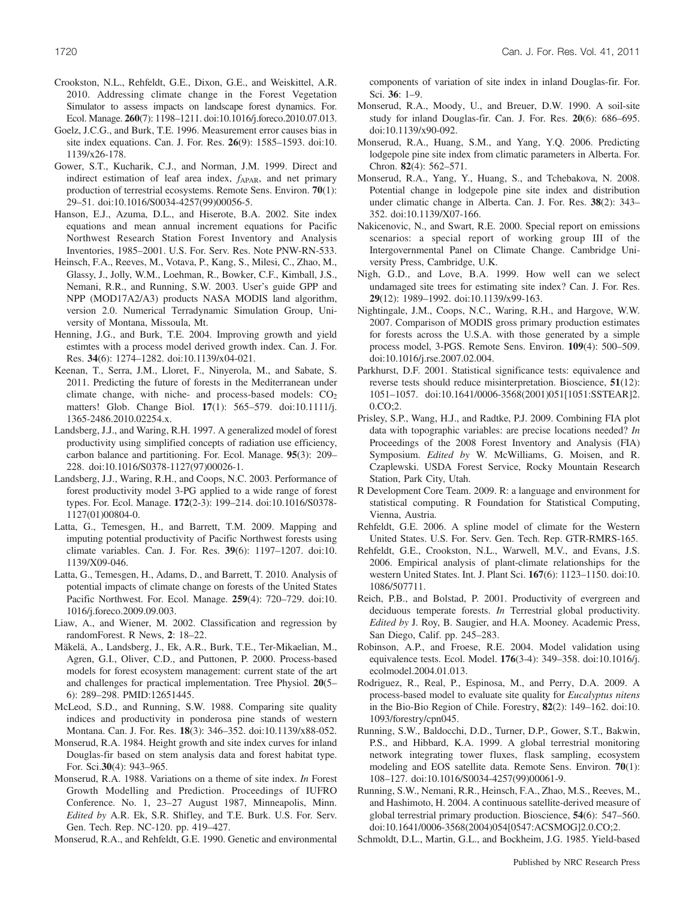- Crookston, N.L., Rehfeldt, G.E., Dixon, G.E., and Weiskittel, A.R. 2010. Addressing climate change in the Forest Vegetation Simulator to assess impacts on landscape forest dynamics. For. Ecol. Manage. 260(7): 1198–1211. doi:10.1016/j.foreco.2010.07.013.
- Goelz, J.C.G., and Burk, T.E. 1996. Measurement error causes bias in site index equations. Can. J. For. Res. 26(9): 1585–1593. doi:10. 1139/x26-178.
- Gower, S.T., Kucharik, C.J., and Norman, J.M. 1999. Direct and indirect estimation of leaf area index,  $f_{APAR}$ , and net primary production of terrestrial ecosystems. Remote Sens. Environ. 70(1): 29–51. doi:10.1016/S0034-4257(99)00056-5.
- Hanson, E.J., Azuma, D.L., and Hiserote, B.A. 2002. Site index equations and mean annual increment equations for Pacific Northwest Research Station Forest Inventory and Analysis Inventories, 1985–2001. U.S. For. Serv. Res. Note PNW-RN-533.
- Heinsch, F.A., Reeves, M., Votava, P., Kang, S., Milesi, C., Zhao, M., Glassy, J., Jolly, W.M., Loehman, R., Bowker, C.F., Kimball, J.S., Nemani, R.R., and Running, S.W. 2003. User's guide GPP and NPP (MOD17A2/A3) products NASA MODIS land algorithm, version 2.0. Numerical Terradynamic Simulation Group, University of Montana, Missoula, Mt.
- Henning, J.G., and Burk, T.E. 2004. Improving growth and yield estimtes with a process model derived growth index. Can. J. For. Res. 34(6): 1274–1282. doi:10.1139/x04-021.
- Keenan, T., Serra, J.M., Lloret, F., Ninyerola, M., and Sabate, S. 2011. Predicting the future of forests in the Mediterranean under climate change, with niche- and process-based models:  $CO<sub>2</sub>$ matters! Glob. Change Biol. 17(1): 565–579. doi:10.1111/j. 1365-2486.2010.02254.x.
- Landsberg, J.J., and Waring, R.H. 1997. A generalized model of forest productivity using simplified concepts of radiation use efficiency, carbon balance and partitioning. For. Ecol. Manage. 95(3): 209– 228. doi:10.1016/S0378-1127(97)00026-1.
- Landsberg, J.J., Waring, R.H., and Coops, N.C. 2003. Performance of forest productivity model 3-PG applied to a wide range of forest types. For. Ecol. Manage. 172(2-3): 199–214. doi:10.1016/S0378- 1127(01)00804-0.
- Latta, G., Temesgen, H., and Barrett, T.M. 2009. Mapping and imputing potential productivity of Pacific Northwest forests using climate variables. Can. J. For. Res. 39(6): 1197–1207. doi:10. 1139/X09-046.
- Latta, G., Temesgen, H., Adams, D., and Barrett, T. 2010. Analysis of potential impacts of climate change on forests of the United States Pacific Northwest. For. Ecol. Manage. 259(4): 720–729. doi:10. 1016/j.foreco.2009.09.003.
- Liaw, A., and Wiener, M. 2002. Classification and regression by randomForest. R News, 2: 18–22.
- Mäkelä, A., Landsberg, J., Ek, A.R., Burk, T.E., Ter-Mikaelian, M., Agren, G.I., Oliver, C.D., and Puttonen, P. 2000. Process-based models for forest ecosystem management: current state of the art and challenges for practical implementation. Tree Physiol. 20(5– 6): 289–298. PMID:12651445.
- McLeod, S.D., and Running, S.W. 1988. Comparing site quality indices and productivity in ponderosa pine stands of western Montana. Can. J. For. Res. 18(3): 346–352. doi:10.1139/x88-052.
- Monserud, R.A. 1984. Height growth and site index curves for inland Douglas-fir based on stem analysis data and forest habitat type. For. Sci.30(4): 943–965.
- Monserud, R.A. 1988. Variations on a theme of site index. In Forest Growth Modelling and Prediction. Proceedings of IUFRO Conference. No. 1, 23–27 August 1987, Minneapolis, Minn. Edited by A.R. Ek, S.R. Shifley, and T.E. Burk. U.S. For. Serv. Gen. Tech. Rep. NC-120. pp. 419–427.

Monserud, R.A., and Rehfeldt, G.E. 1990. Genetic and environmental

components of variation of site index in inland Douglas-fir. For. Sci. 36: 1–9.

- Monserud, R.A., Moody, U., and Breuer, D.W. 1990. A soil-site study for inland Douglas-fir. Can. J. For. Res. 20(6): 686–695. doi:10.1139/x90-092.
- Monserud, R.A., Huang, S.M., and Yang, Y.Q. 2006. Predicting lodgepole pine site index from climatic parameters in Alberta. For. Chron. 82(4): 562–571.
- Monserud, R.A., Yang, Y., Huang, S., and Tchebakova, N. 2008. Potential change in lodgepole pine site index and distribution under climatic change in Alberta. Can. J. For. Res. 38(2): 343– 352. doi:10.1139/X07-166.
- Nakicenovic, N., and Swart, R.E. 2000. Special report on emissions scenarios: a special report of working group III of the Intergovernmental Panel on Climate Change. Cambridge University Press, Cambridge, U.K.
- Nigh, G.D., and Love, B.A. 1999. How well can we select undamaged site trees for estimating site index? Can. J. For. Res. 29(12): 1989–1992. doi:10.1139/x99-163.
- Nightingale, J.M., Coops, N.C., Waring, R.H., and Hargove, W.W. 2007. Comparison of MODIS gross primary production estimates for forests across the U.S.A. with those generated by a simple process model, 3-PGS. Remote Sens. Environ. 109(4): 500–509. doi:10.1016/j.rse.2007.02.004.
- Parkhurst, D.F. 2001. Statistical significance tests: equivalence and reverse tests should reduce misinterpretation. Bioscience, 51(12): 1051–1057. doi:10.1641/0006-3568(2001)051[1051:SSTEAR]2. 0.CO;2.
- Prisley, S.P., Wang, H.J., and Radtke, P.J. 2009. Combining FIA plot data with topographic variables: are precise locations needed? In Proceedings of the 2008 Forest Inventory and Analysis (FIA) Symposium. Edited by W. McWilliams, G. Moisen, and R. Czaplewski. USDA Forest Service, Rocky Mountain Research Station, Park City, Utah.
- R Development Core Team. 2009. R: a language and environment for statistical computing. R Foundation for Statistical Computing, Vienna, Austria.
- Rehfeldt, G.E. 2006. A spline model of climate for the Western United States. U.S. For. Serv. Gen. Tech. Rep. GTR-RMRS-165.
- Rehfeldt, G.E., Crookston, N.L., Warwell, M.V., and Evans, J.S. 2006. Empirical analysis of plant-climate relationships for the western United States. Int. J. Plant Sci. 167(6): 1123–1150. doi:10. 1086/507711.
- Reich, P.B., and Bolstad, P. 2001. Productivity of evergreen and deciduous temperate forests. In Terrestrial global productivity. Edited by J. Roy, B. Saugier, and H.A. Mooney. Academic Press, San Diego, Calif. pp. 245–283.
- Robinson, A.P., and Froese, R.E. 2004. Model validation using equivalence tests. Ecol. Model. 176(3-4): 349–358. doi:10.1016/j. ecolmodel.2004.01.013.
- Rodriguez, R., Real, P., Espinosa, M., and Perry, D.A. 2009. A process-based model to evaluate site quality for Eucalyptus nitens in the Bio-Bio Region of Chile. Forestry, 82(2): 149–162. doi:10. 1093/forestry/cpn045.
- Running, S.W., Baldocchi, D.D., Turner, D.P., Gower, S.T., Bakwin, P.S., and Hibbard, K.A. 1999. A global terrestrial monitoring network integrating tower fluxes, flask sampling, ecosystem modeling and EOS satellite data. Remote Sens. Environ. 70(1): 108–127. doi:10.1016/S0034-4257(99)00061-9.
- Running, S.W., Nemani, R.R., Heinsch, F.A., Zhao, M.S., Reeves, M., and Hashimoto, H. 2004. A continuous satellite-derived measure of global terrestrial primary production. Bioscience, 54(6): 547–560. doi:10.1641/0006-3568(2004)054[0547:ACSMOG]2.0.CO;2.
- Schmoldt, D.L., Martin, G.L., and Bockheim, J.G. 1985. Yield-based